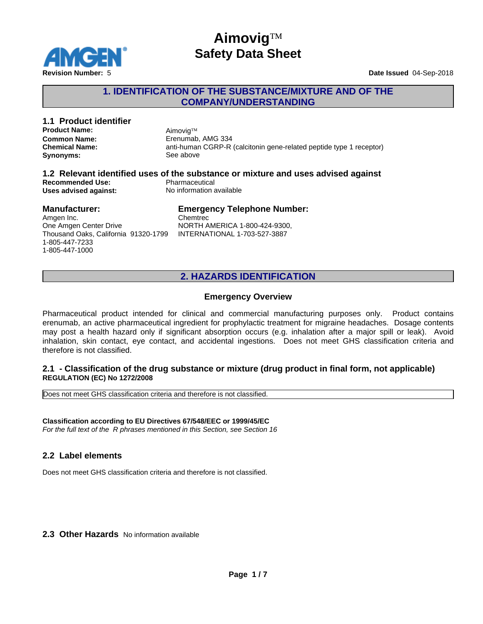

# **Aimovig**™ **Safety Data Sheet**

### **1. IDENTIFICATION OF THE SUBSTANCE/MIXTURE AND OF THE COMPANY/UNDERSTANDING**

### **1.1 Product identifier Product Name:** AimovigTM **Common Name:** Erenumab, AMG 334 **Chemical Name:** anti-human CGRP-R (calcitonin gene-related peptide type 1 receptor) **Synonyms:** See above **1.2 Relevant identified uses of the substance or mixture and uses advised against Recommended Use:** Pharmaceutical **Uses advised against:** No information available

#### **Manufacturer:**

#### **Emergency Telephone Number:**

Amgen Inc. One Amgen Center Drive Thousand Oaks, California 91320-1799 1-805-447-7233 1-805-447-1000

Chemtrec NORTH AMERICA 1-800-424-9300, INTERNATIONAL 1-703-527-3887

### **2. HAZARDS IDENTIFICATION**

#### **Emergency Overview**

Pharmaceutical product intended for clinical and commercial manufacturing purposes only. Product contains erenumab, an active pharmaceutical ingredient for prophylactic treatment for migraine headaches. Dosage contents may post a health hazard only if significant absorption occurs (e.g. inhalation after a major spill or leak). Avoid inhalation, skin contact, eye contact, and accidental ingestions. Does not meet GHS classification criteria and therefore is not classified.

#### **2.1 - Classification of the drug substance or mixture (drug product in final form, not applicable) REGULATION (EC) No 1272/2008**

Does not meet GHS classification criteria and therefore is not classified.

**Classification according to EU Directives 67/548/EEC or 1999/45/EC** *For the full text of the R phrases mentioned in this Section, see Section 16*

### **2.2 Label elements**

Does not meet GHS classification criteria and therefore is not classified.

**2.3 Other Hazards** No information available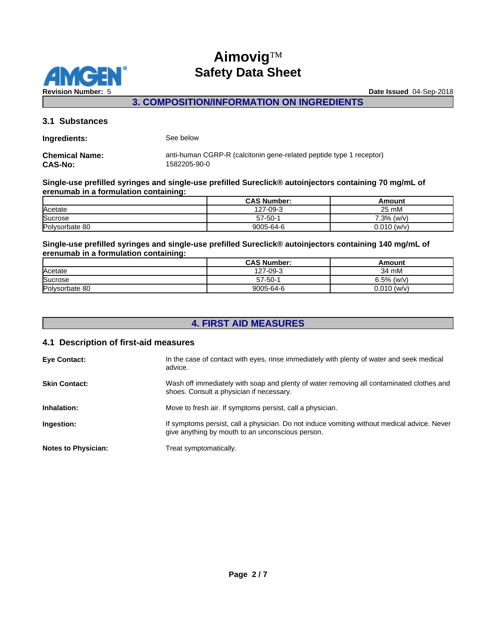

### **3. COMPOSITION/INFORMATION ON INGREDIENTS**

#### **3.1 Substances**

| Ingredients:          | See below                                                           |
|-----------------------|---------------------------------------------------------------------|
| <b>Chemical Name:</b> | anti-human CGRP-R (calcitonin gene-related peptide type 1 receptor) |
| <b>CAS-No:</b>        | 1582205-90-0                                                        |

#### **Single-use prefilled syringes and single-use prefilled Sureclick® autoinjectors containing 70 mg/mL of erenumab in a formulation containing:**

|                | <b>CAS Number:</b> | Amouni        |
|----------------|--------------------|---------------|
| Acetate        | 127-09-3           | 25 mM         |
| Sucrose        | $57 - 50 - 1$      | 7.3%<br>(w/v) |
| Polysorbate 80 | 9005-64-6          | $0.010$ (w/v) |

#### **Single-use prefilled syringes and single-use prefilled Sureclick® autoinjectors containing 140 mg/mL of erenumab in a formulation containing:**

|                | <b>CAS Number:</b> | Amount        |
|----------------|--------------------|---------------|
| Acetate        | 127-09-3           | 34 mM         |
| Sucrose        | $57 - 50 - 1$      | $6.5\%$ (w/v) |
| Polysorbate 80 | 9005-64-6          | $0.010$ (w/v) |

# **4. FIRST AID MEASURES**

### **4.1 Description of first-aid measures**

| <b>Eye Contact:</b>        | In the case of contact with eyes, rinse immediately with plenty of water and seek medical<br>advice.                                            |
|----------------------------|-------------------------------------------------------------------------------------------------------------------------------------------------|
| <b>Skin Contact:</b>       | Wash off immediately with soap and plenty of water removing all contaminated clothes and<br>shoes. Consult a physician if necessary.            |
| Inhalation:                | Move to fresh air. If symptoms persist, call a physician.                                                                                       |
| Ingestion:                 | If symptoms persist, call a physician. Do not induce vomiting without medical advice. Never<br>give anything by mouth to an unconscious person. |
| <b>Notes to Physician:</b> | Treat symptomatically.                                                                                                                          |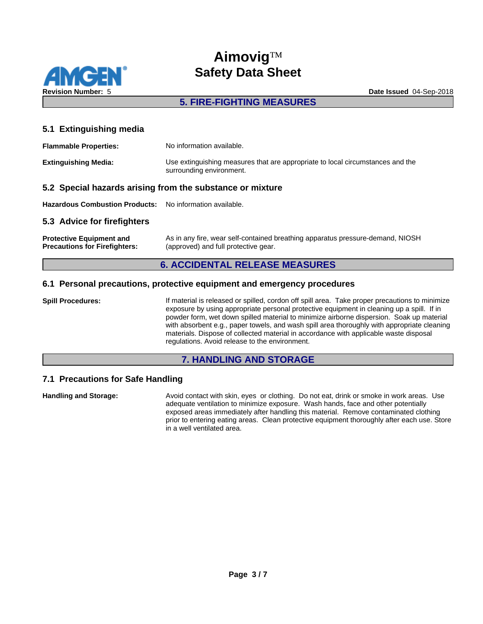

# **Aimovig™ Safety Data Sheet**

### **5. FIRE-FIGHTING MEASURES**

#### **5.1 Extinguishing media**

| <b>Flammable Properties:</b> | No information available.                                                                                  |
|------------------------------|------------------------------------------------------------------------------------------------------------|
| <b>Extinguishing Media:</b>  | Use extinguishing measures that are appropriate to local circumstances and the<br>surrounding environment. |

#### **5.2 Special hazards arising from the substance or mixture**

**Hazardous Combustion Products:** No information available.

#### **5.3 Advice for firefighters**

| <b>Protective Equipment and</b>      | As in any fire, wear self-contained breathing apparatus pressure-demand, NIOSH |
|--------------------------------------|--------------------------------------------------------------------------------|
| <b>Precautions for Firefighters:</b> | (approved) and full protective gear.                                           |

### **6. ACCIDENTAL RELEASE MEASURES**

#### **6.1 Personal precautions, protective equipment and emergency procedures**

**Spill Procedures:** If material is released or spilled, cordon off spill area. Take proper precautions to minimize exposure by using appropriate personal protective equipment in cleaning up a spill. If in powder form, wet down spilled material to minimize airborne dispersion. Soak up material with absorbent e.g., paper towels, and wash spill area thoroughly with appropriate cleaning materials. Dispose of collected material in accordance with applicable waste disposal regulations. Avoid release to the environment.

#### **7. HANDLING AND STORAGE**

### **7.1 Precautions for Safe Handling**

**Handling and Storage:** Avoid contact with skin, eyes or clothing. Do not eat, drink or smoke in work areas. Use adequate ventilation to minimize exposure. Wash hands, face and other potentially exposed areas immediately after handling this material. Remove contaminated clothing prior to entering eating areas. Clean protective equipment thoroughly after each use. Store in a well ventilated area.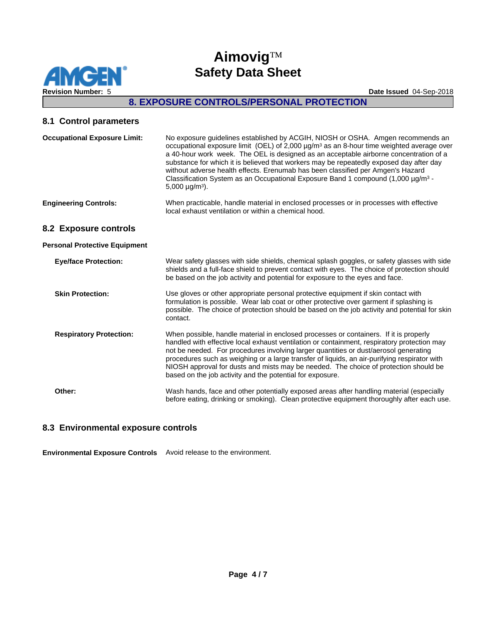

### **8. EXPOSURE CONTROLS/PERSONAL PROTECTION**

#### **8.1 Control parameters**

| <b>Occupational Exposure Limit:</b>  | No exposure guidelines established by ACGIH, NIOSH or OSHA. Amgen recommends an<br>occupational exposure limit (OEL) of 2,000 µg/m <sup>3</sup> as an 8-hour time weighted average over<br>a 40-hour work week. The OEL is designed as an acceptable airborne concentration of a<br>substance for which it is believed that workers may be repeatedly exposed day after day<br>without adverse health effects. Erenumab has been classified per Amgen's Hazard<br>Classification System as an Occupational Exposure Band 1 compound $(1,000 \mu g/m3 -$<br>5,000 $\mu$ g/m <sup>3</sup> ). |
|--------------------------------------|--------------------------------------------------------------------------------------------------------------------------------------------------------------------------------------------------------------------------------------------------------------------------------------------------------------------------------------------------------------------------------------------------------------------------------------------------------------------------------------------------------------------------------------------------------------------------------------------|
| <b>Engineering Controls:</b>         | When practicable, handle material in enclosed processes or in processes with effective<br>local exhaust ventilation or within a chemical hood.                                                                                                                                                                                                                                                                                                                                                                                                                                             |
| 8.2 Exposure controls                |                                                                                                                                                                                                                                                                                                                                                                                                                                                                                                                                                                                            |
| <b>Personal Protective Equipment</b> |                                                                                                                                                                                                                                                                                                                                                                                                                                                                                                                                                                                            |
| <b>Eye/face Protection:</b>          | Wear safety glasses with side shields, chemical splash goggles, or safety glasses with side<br>shields and a full-face shield to prevent contact with eyes. The choice of protection should<br>be based on the job activity and potential for exposure to the eyes and face.                                                                                                                                                                                                                                                                                                               |
| <b>Skin Protection:</b>              | Use gloves or other appropriate personal protective equipment if skin contact with<br>formulation is possible. Wear lab coat or other protective over garment if splashing is<br>possible. The choice of protection should be based on the job activity and potential for skin<br>contact.                                                                                                                                                                                                                                                                                                 |
| <b>Respiratory Protection:</b>       | When possible, handle material in enclosed processes or containers. If it is properly<br>handled with effective local exhaust ventilation or containment, respiratory protection may<br>not be needed. For procedures involving larger quantities or dust/aerosol generating<br>procedures such as weighing or a large transfer of liquids, an air-purifying respirator with<br>NIOSH approval for dusts and mists may be needed. The choice of protection should be<br>based on the job activity and the potential for exposure.                                                          |
| Other:                               | Wash hands, face and other potentially exposed areas after handling material (especially<br>before eating, drinking or smoking). Clean protective equipment thoroughly after each use.                                                                                                                                                                                                                                                                                                                                                                                                     |
|                                      |                                                                                                                                                                                                                                                                                                                                                                                                                                                                                                                                                                                            |

#### **8.3 Environmental exposure controls**

**Environmental Exposure Controls** Avoid release to the environment.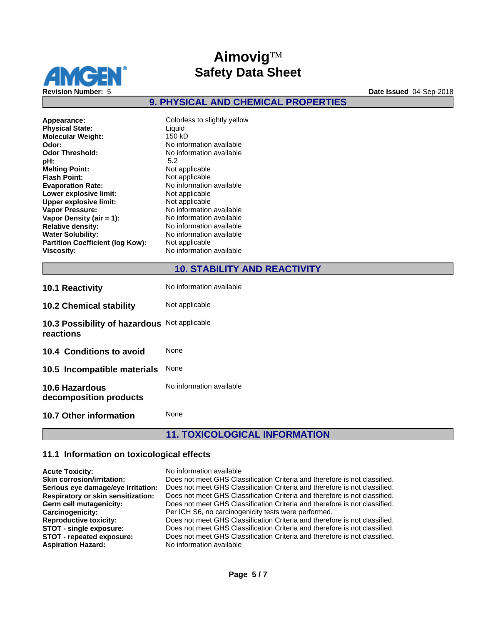

**9. PHYSICAL AND CHEMICAL PROPERTIES**

| Appearance:                             | Colorless to slightly yellow |
|-----------------------------------------|------------------------------|
| <b>Physical State:</b>                  | Liquid                       |
| <b>Molecular Weight:</b>                | 150 kD                       |
| Odor:                                   | No information available     |
| <b>Odor Threshold:</b>                  | No information available     |
| pH:                                     | 5.2                          |
| <b>Melting Point:</b>                   | Not applicable               |
| <b>Flash Point:</b>                     | Not applicable               |
| <b>Evaporation Rate:</b>                | No information available     |
| Lower explosive limit:                  | Not applicable               |
| <b>Upper explosive limit:</b>           | Not applicable               |
| <b>Vapor Pressure:</b>                  | No information available     |
| Vapor Density (air $= 1$ ):             | No information available     |
| <b>Relative density:</b>                | No information available     |
| <b>Water Solubility:</b>                | No information available     |
| <b>Partition Coefficient (log Kow):</b> | Not applicable               |
| <b>Viscosity:</b>                       | No information available     |

### **10. STABILITY AND REACTIVITY**

| <b>10.1 Reactivity</b>                                    | No information available |
|-----------------------------------------------------------|--------------------------|
| <b>10.2 Chemical stability</b>                            | Not applicable           |
| 10.3 Possibility of hazardous Not applicable<br>reactions |                          |
| 10.4 Conditions to avoid                                  | None                     |
| 10.5 Incompatible materials                               | <b>None</b>              |
| <b>10.6 Hazardous</b><br>decomposition products           | No information available |
| <b>10.7 Other information</b>                             | None                     |

# **11. TOXICOLOGICAL INFORMATION**

#### **11.1 Information on toxicological effects**

| <b>Acute Toxicity:</b>                    | No information available                                                   |
|-------------------------------------------|----------------------------------------------------------------------------|
| <b>Skin corrosion/irritation:</b>         | Does not meet GHS Classification Criteria and therefore is not classified. |
| Serious eye damage/eye irritation:        | Does not meet GHS Classification Criteria and therefore is not classified. |
| <b>Respiratory or skin sensitization:</b> | Does not meet GHS Classification Criteria and therefore is not classified. |
| Germ cell mutagenicity:                   | Does not meet GHS Classification Criteria and therefore is not classified. |
| Carcinogenicity:                          | Per ICH S6, no carcinogenicity tests were performed.                       |
| <b>Reproductive toxicity:</b>             | Does not meet GHS Classification Criteria and therefore is not classified. |
| STOT - single exposure:                   | Does not meet GHS Classification Criteria and therefore is not classified. |
| STOT - repeated exposure:                 | Does not meet GHS Classification Criteria and therefore is not classified. |
| <b>Aspiration Hazard:</b>                 | No information available                                                   |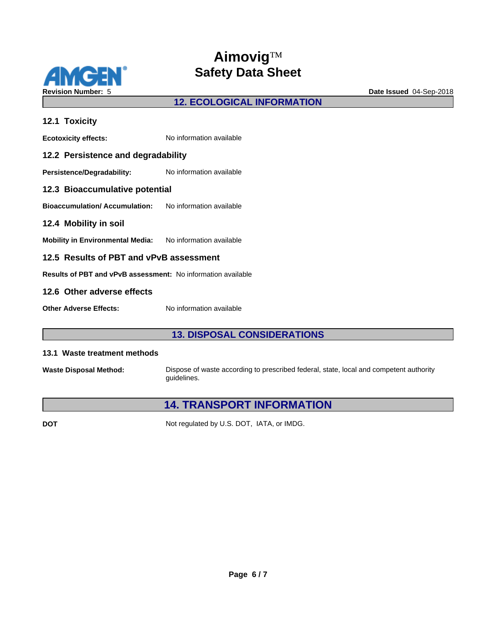

# **12. ECOLOGICAL INFORMATION**

| 12.1 Toxicity                                                       |                          |  |
|---------------------------------------------------------------------|--------------------------|--|
| <b>Ecotoxicity effects:</b>                                         | No information available |  |
| 12.2 Persistence and degradability                                  |                          |  |
| <b>Persistence/Degradability:</b>                                   | No information available |  |
| 12.3 Bioaccumulative potential                                      |                          |  |
| <b>Bioaccumulation/Accumulation:</b> No information available       |                          |  |
| 12.4 Mobility in soil                                               |                          |  |
| Mobility in Environmental Media: No information available           |                          |  |
| 12.5 Results of PBT and vPvB assessment                             |                          |  |
| <b>Results of PBT and vPvB assessment:</b> No information available |                          |  |
| 12.6 Other adverse effects                                          |                          |  |
| <b>Other Adverse Effects:</b>                                       | No information available |  |

### **13. DISPOSAL CONSIDERATIONS**

#### **13.1 Waste treatment methods**

**Waste Disposal Method:** Dispose of waste according to prescribed federal, state, local and competent authority guidelines.

# **14. TRANSPORT INFORMATION**

**DOT** Not regulated by U.S. DOT, IATA, or IMDG.